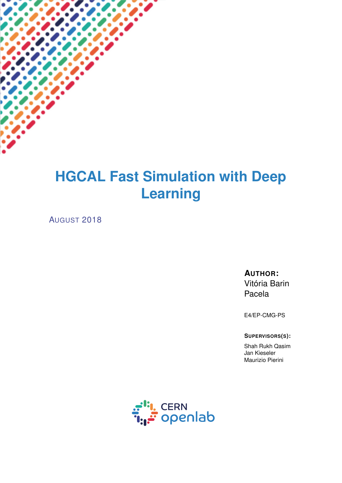# **HGCAL Fast Simulation with Deep Learning**

AUGUST 2018

**AUTHOR:** Vitória Barin Pacela

E4/EP-CMG-PS

**SUPERVISORS(S):**

Shah Rukh Qasim Jan Kieseler Maurizio Pierini

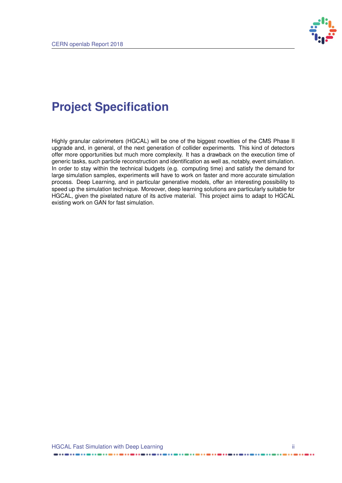

## **Project Specification**

Highly granular calorimeters (HGCAL) will be one of the biggest novelties of the CMS Phase II upgrade and, in general, of the next generation of collider experiments. This kind of detectors offer more opportunities but much more complexity. It has a drawback on the execution time of generic tasks, such particle reconstruction and identification as well as, notably, event simulation. In order to stay within the technical budgets (e.g. computing time) and satisfy the demand for large simulation samples, experiments will have to work on faster and more accurate simulation process. Deep Learning, and in particular generative models, offer an interesting possibility to speed up the simulation technique. Moreover, deep learning solutions are particularly suitable for HGCAL, given the pixelated nature of its active material. This project aims to adapt to HGCAL existing work on GAN for fast simulation.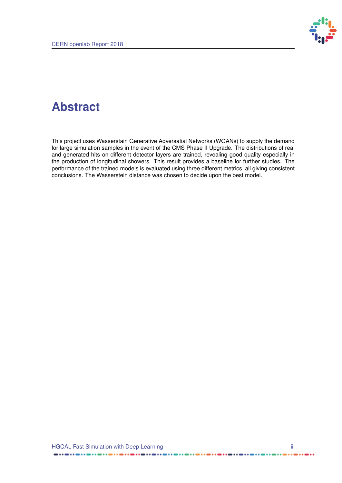

### **Abstract**

This project uses Wasserstain Generative Adversatial Networks (WGANs) to supply the demand for large simulation samples in the event of the CMS Phase II Upgrade. The distributions of real and generated hits on different detector layers are trained, revealing good quality especially in the production of longitudinal showers. This result provides a baseline for further studies. The performance of the trained models is evaluated using three different metrics, all giving consistent conclusions. The Wasserstein distance was chosen to decide upon the best model.

 $- \cdots - \cdots$ 

..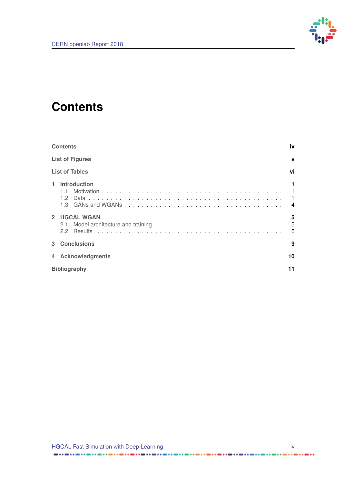

### <span id="page-3-0"></span>**Contents**

|                | <b>Contents</b>                |                                           |  |  |  |
|----------------|--------------------------------|-------------------------------------------|--|--|--|
|                | <b>List of Figures</b>         |                                           |  |  |  |
|                | <b>List of Tables</b>          | vi                                        |  |  |  |
| 1              | Introduction<br>1.1<br>$1.2 -$ | $\blacksquare$ 1<br>$\boldsymbol{\Delta}$ |  |  |  |
| $\overline{2}$ | <b>HGCAL WGAN</b><br>2.1<br>22 | 5<br>5<br>6                               |  |  |  |
|                | 3 Conclusions                  | 9                                         |  |  |  |
| 4              | <b>Acknowledgments</b>         | 10                                        |  |  |  |
|                | 11<br><b>Bibliography</b>      |                                           |  |  |  |

......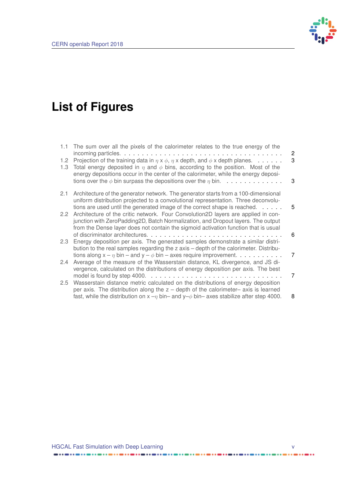

# <span id="page-4-0"></span>**List of Figures**

| $1.1 -$                 | The sum over all the pixels of the calorimeter relates to the true energy of the                                                                                                                                                                                                                | $\overline{2}$<br>3 |
|-------------------------|-------------------------------------------------------------------------------------------------------------------------------------------------------------------------------------------------------------------------------------------------------------------------------------------------|---------------------|
| 1.2 <sub>1</sub><br>1.3 | Projection of the training data in $\eta \times \phi$ , $\eta \times$ depth, and $\phi \times$ depth planes.<br>Total energy deposited in $\eta$ and $\phi$ bins, according to the position. Most of the<br>energy depositions occur in the center of the calorimeter, while the energy deposi- |                     |
|                         | tions over the $\phi$ bin surpass the depositions over the $\eta$ bin.                                                                                                                                                                                                                          | 3                   |
| 2.1                     | Architecture of the generator network. The generator starts from a 100-dimensional<br>uniform distribution projected to a convolutional representation. Three deconvolu-<br>tions are used until the generated image of the correct shape is reached.                                           | 5                   |
| $2.2^{\circ}$           | Architecture of the critic network. Four Convolution2D layers are applied in con-<br>junction with ZeroPadding2D, Batch Normalization, and Dropout layers. The output<br>from the Dense layer does not contain the sigmoid activation function that is usual                                    |                     |
|                         |                                                                                                                                                                                                                                                                                                 | 6                   |
| 2.3                     | Energy deposition per axis. The generated samples demonstrate a similar distri-<br>bution to the real samples regarding the z axis – depth of the calorimeter. Distribu-                                                                                                                        |                     |
| 2.4                     | tions along $x - \eta$ bin – and $y - \phi$ bin – axes require improvement.<br>Average of the measure of the Wasserstain distance, KL divergence, and JS di-                                                                                                                                    | 7                   |
|                         | vergence, calculated on the distributions of energy deposition per axis. The best                                                                                                                                                                                                               | 7                   |
| $2.5^{\circ}$           | Wasserstain distance metric calculated on the distributions of energy deposition<br>per axis. The distribution along the $z -$ depth of the calorimeter- axis is learned                                                                                                                        |                     |
|                         | fast, while the distribution on $x - y$ bin- and $y - \phi$ bin- axes stabilize after step 4000.                                                                                                                                                                                                | 8                   |

......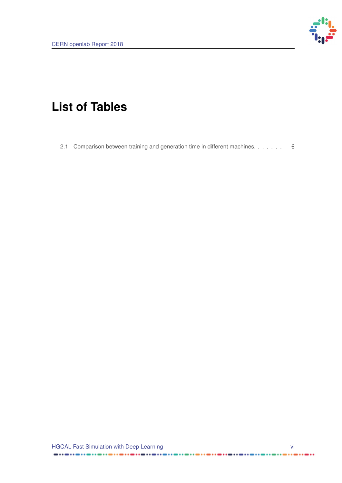

# <span id="page-5-0"></span>**List of Tables**

[2.1 Comparison between training and generation time in different machines.](#page-11-2) . . . . . . . 6

. . . . . .

. . . . . . . . . . . . . . . . . . . .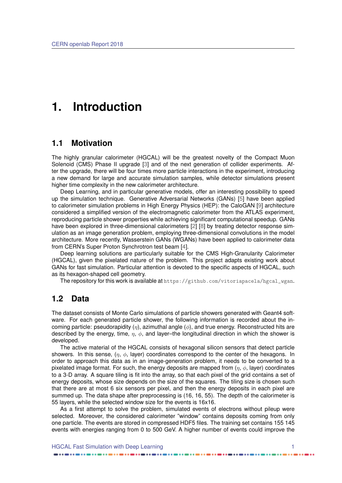### <span id="page-6-3"></span><span id="page-6-0"></span>**1. Introduction**

#### <span id="page-6-1"></span>**1.1 Motivation**

The highly granular calorimeter (HGCAL) will be the greatest novelty of the Compact Muon Solenoid (CMS) Phase II upgrade [\[3\]](#page-16-1) and of the next generation of collider experiments. After the upgrade, there will be four times more particle interactions in the experiment, introducing a new demand for large and accurate simulation samples, while detector simulations present higher time complexity in the new calorimeter architecture.

Deep Learning, and in particular generative models, offer an interesting possibility to speed up the simulation technique. Generative Adversarial Networks (GANs) [\[5\]](#page-16-2) have been applied to calorimeter simulation problems in High Energy Physics (HEP): the CaloGAN [\[9\]](#page-16-3) architecture considered a simplified version of the electromagnetic calorimeter from the ATLAS experiment, reproducing particle shower properties while achieving significant computational speedup. GANs have been explored in three-dimensional calorimeters [\[2\]](#page-16-4) [\[8\]](#page-16-5) by treating detector response simulation as an image generation problem, employing three-dimensional convolutions in the model architecture. More recently, Wasserstein GANs (WGANs) have been applied to calorimeter data from CERN's Super Proton Synchrotron test beam [\[4\]](#page-16-6).

Deep learning solutions are particularly suitable for the CMS High-Granularity Calorimeter (HGCAL), given the pixelated nature of the problem. This project adapts existing work about GANs for fast simulation. Particular attention is devoted to the specific aspects of HGCAL, such as its hexagon-shaped cell geometry.

<span id="page-6-2"></span>The repository for this work is available at [https://github.com/vitoriapacela/hgcal\\_wgan](https://github.com/vitoriapacela/hgcal_wgan).

#### **1.2 Data**

The dataset consists of Monte Carlo simulations of particle showers generated with Geant4 software. For each generated particle shower, the following information is recorded about the incoming particle: pseudorapidity  $(\eta)$ , azimuthal angle  $(\phi)$ , and true energy. Reconstructed hits are described by the energy, time,  $\eta$ ,  $\phi$ , and layer-the longitudinal direction in which the shower is developed.

The active material of the HGCAL consists of hexagonal silicon sensors that detect particle showers. In this sense,  $(\eta, \phi, \phi)$  coordinates correspond to the center of the hexagons. In order to approach this data as in an image-generation problem, it needs to be converted to a pixelated image format. For such, the energy deposits are mapped from  $(\eta, \phi)$ , layer) coordinates to a 3-D array. A square tiling is fit into the array, so that each pixel of the grid contains a set of energy deposits, whose size depends on the size of the squares. The tiling size is chosen such that there are at most 6 six sensors per pixel, and then the energy deposits in each pixel are summed up. The data shape after preprocessing is (16, 16, 55). The depth of the calorimeter is 55 layers, while the selected window size for the events is 16x16.

As a first attempt to solve the problem, simulated events of electrons without pileup were selected. Moreover, the considered calorimeter "window" contains deposits coming from only one particle. The events are stored in compressed HDF5 files. The training set contains 155 145 events with energies ranging from 0 to 500 GeV. A higher number of events could improve the

HGCAL Fast Simulation with Deep Learning 1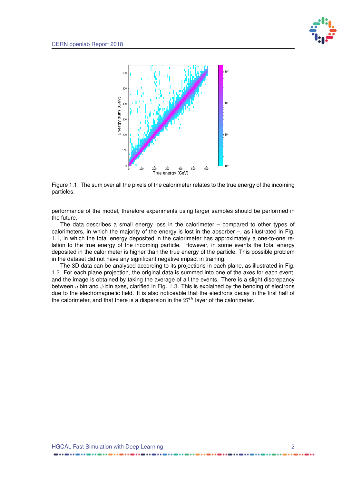

<span id="page-7-0"></span>

Figure 1.1: The sum over all the pixels of the calorimeter relates to the true energy of the incoming particles.

performance of the model, therefore experiments using larger samples should be performed in the future.

The data describes a small energy loss in the calorimeter  $-$  compared to other types of calorimeters, in which the majority of the energy is lost in the absorber –, as illustrated in Fig. [1.1,](#page-7-0) in which the total energy deposited in the calorimeter has approximately a one-to-one relation to the true energy of the incoming particle. However, in some events the total energy deposited in the calorimeter is higher than the true energy of the particle. This possible problem in the dataset did not have any significant negative impact in training.

The 3D data can be analysed according to its projections in each plane, as illustrated in Fig. [1.2.](#page-8-0) For each plane projection, the original data is summed into one of the axes for each event, and the image is obtained by taking the average of all the events. There is a slight discrepancy between  $n$  bin and  $\phi$  bin axes, clarified in Fig. [1.3.](#page-8-1) This is explained by the bending of electrons due to the electromagnetic field. It is also noticeable that the electrons decay in the first half of the calorimeter, and that there is a dispersion in the  $27<sup>th</sup>$  layer of the calorimeter.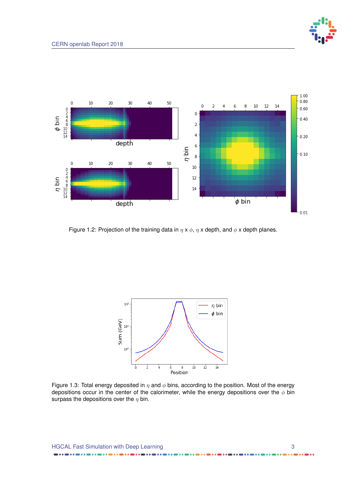

<span id="page-8-0"></span>

Figure 1.2: Projection of the training data in  $\eta \times \phi$ ,  $\eta \times$  depth, and  $\phi \times$  depth planes.

<span id="page-8-1"></span>

Figure 1.3: Total energy deposited in  $\eta$  and  $\phi$  bins, according to the position. Most of the energy depositions occur in the center of the calorimeter, while the energy depositions over the  $\phi$  bin surpass the depositions over the  $\eta$  bin.

..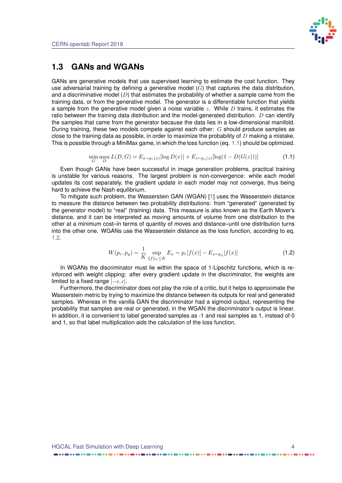

### <span id="page-9-3"></span><span id="page-9-0"></span>**1.3 GANs and WGANs**

GANs are generative models that use supervised learning to estimate the cost function. They use adversarial training by defining a generative model  $(G)$  that captures the data distribution, and a discriminative model  $(D)$  that estimates the probability of whether a sample came from the training data, or from the generative model. The generator is a differentiable function that yields a sample from the generative model given a noise variable  $z$ . While  $D$  trains, it estimates the ratio between the training data distribution and the model-generated distribution.  $D$  can identify the samples that came from the generator because the data lies in a low-dimensional manifold. During training, these two models compete against each other: G should produce samples as close to the training data as possible, in order to maximize the probability of  $D$  making a mistake. This is possible through a MiniMax game, in which the loss function (eq. [1.1\)](#page-9-1) should be optimized.

<span id="page-9-1"></span>
$$
\min_{G} \max_{D} L(D, G) = E_{x \sim p_r(x)}[\log D(x)] + E_{z \sim p_z(z)}[\log(1 - D(G(z)))] \tag{1.1}
$$

Even though GANs have been successful in image generation problems, practical training is unstable for various reasons. The largest problem is non-convergence: while each model updates its cost separately, the gradient update in each model may not converge, thus being hard to achieve the Nash equilibrium.

To mitigate such problem, the Wasserstein GAN (WGAN) [\[1\]](#page-16-7) uses the Wasserstein distance to measure the distance between two probability distributions: from "generated" (generated by the generator model) to "real" (training) data. This measure is also known as the Earth Mover's distance, and it can be interpreted as moving amounts of volume from one distribution to the other at a minimum cost–in terms of quantity of moves and distance–until one distribution turns into the other one. WGANs use the Wasserstein distance as the loss function, according to eq. [1.2.](#page-9-2)

<span id="page-9-2"></span>
$$
W(p_r, p_g) = \frac{1}{K} \sup_{\|f\|_{L} \le K} E_x \sim p_r[f(x)] - E_{x \sim p_g}[f(x)] \tag{1.2}
$$

In WGANs the discriminator must lie within the space of 1-Lipschitz functions, which is reinforced with weight clipping: after every gradient update in the discriminator, the weights are limited to a fixed range  $[-c, c]$ .

Furthermore, the discriminator does not play the role of a critic, but it helps to approximate the Wasserstein metric by trying to maximize the distance between its outputs for real and generated samples. Whereas in the vanilla GAN the discriminator had a sigmoid output, representing the probability that samples are real or generated, in the WGAN the discriminator's output is linear. In addition, it is convenient to label generated samples as -1 and real samples as 1, instead of 0 and 1, so that label multiplication aids the calculation of the loss function.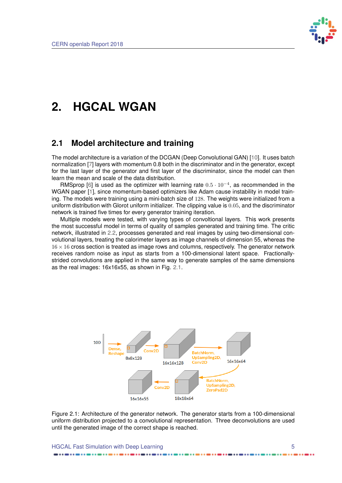

## <span id="page-10-3"></span><span id="page-10-0"></span>**2. HGCAL WGAN**

### <span id="page-10-1"></span>**2.1 Model architecture and training**

The model architecture is a variation of the DCGAN (Deep Convolutional GAN) [\[10\]](#page-16-8). It uses batch normalization [\[7\]](#page-16-9) layers with momentum 0.8 both in the discriminator and in the generator, except for the last layer of the generator and first layer of the discriminator, since the model can then learn the mean and scale of the data distribution.

RMSprop [\[6\]](#page-16-10) is used as the optimizer with learning rate  $0.5 \cdot 10^{-4}$ , as recommended in the WGAN paper [\[1\]](#page-16-7), since momentum-based optimizers like Adam cause instability in model training. The models were training using a mini-batch size of 128. The weights were initialized from a uniform distribution with Glorot uniform initializer. The clipping value is 0.05, and the discriminator network is trained five times for every generator training iteration.

Multiple models were tested, with varying types of convoltional layers. This work presents the most successful model in terms of quality of samples generated and training time. The critic network, illustrated in [2.2,](#page-11-1) processes generated and real images by using two-dimensional convolutional layers, treating the calorimeter layers as image channels of dimension 55, whereas the  $16 \times 16$  cross section is treated as image rows and columns, respectively. The generator network receives random noise as input as starts from a 100-dimensional latent space. Fractionallystrided convolutions are applied in the same way to generate samples of the same dimensions as the real images: 16x16x55, as shown in Fig. [2.1.](#page-10-2)

<span id="page-10-2"></span>

Figure 2.1: Architecture of the generator network. The generator starts from a 100-dimensional uniform distribution projected to a convolutional representation. Three deconvolutions are used until the generated image of the correct shape is reached.

HGCAL Fast Simulation with Deep Learning **5** 5 5 5 5 7 3 4  $\sigma$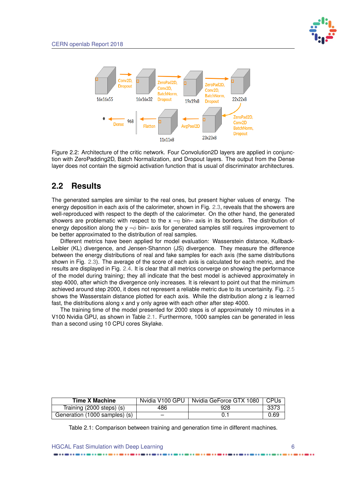

<span id="page-11-1"></span>

Figure 2.2: Architecture of the critic network. Four Convolution2D layers are applied in conjunction with ZeroPadding2D, Batch Normalization, and Dropout layers. The output from the Dense layer does not contain the sigmoid activation function that is usual of discriminator architectures.

### <span id="page-11-0"></span>**2.2 Results**

The generated samples are similar to the real ones, but present higher values of energy. The energy deposition in each axis of the calorimeter, shown in Fig. [2.3,](#page-12-0) reveals that the showers are well-reproduced with respect to the depth of the calorimeter. On the other hand, the generated showers are problematic with respect to the  $x - y$  bin– axis in its borders. The distribution of energy deposition along the y  $-\phi$  bin– axis for generated samples still requires improvement to be better approximated to the distribution of real samples.

Different metrics have been applied for model evaluation: Wasserstein distance, Kullback-Leibler (KL) divergence, and Jensen-Shannon (JS) divergence. They measure the difference between the energy distributions of real and fake samples for each axis (the same distributions shown in Fig. [2.3\)](#page-12-0). The average of the score of each axis is calculated for each metric, and the results are displayed in Fig. [2.4.](#page-12-1) It is clear that all metrics converge on showing the performance of the model during training; they all indicate that the best model is achieved approximately in step 4000, after which the divergence only increases. It is relevant to point out that the minimum achieved around step 2000, it does not represent a reliable metric due to its uncertainity. Fig. [2.5](#page-13-0) shows the Wasserstain distance plotted for each axis. While the distribution along z is learned fast, the distributions along x and y only agree with each other after step 4000.

The training time of the model presented for 2000 steps is of approximately 10 minutes in a V100 Nvidia GPU, as shown in Table [2.1.](#page-11-2) Furthermore, 1000 samples can be generated in less than a second using 10 CPU cores Skylake.

<span id="page-11-2"></span>

| <b>Time X Machine</b>         | Nvidia V100 GPU | Nvidia GeForce GTX 1080 | CPUs |
|-------------------------------|-----------------|-------------------------|------|
| Training (2000 steps) (s)     | 486             | 928                     | 3373 |
| Generation (1000 samples) (s) |                 |                         | 0.69 |

Table 2.1: Comparison between training and generation time in different machines.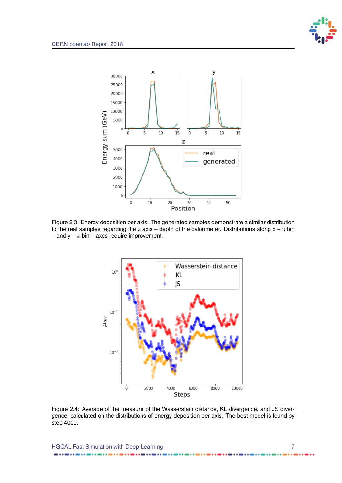

<span id="page-12-0"></span>

<span id="page-12-1"></span>Figure 2.3: Energy deposition per axis. The generated samples demonstrate a similar distribution to the real samples regarding the z axis – depth of the calorimeter. Distributions along  $x - \eta$  bin – and  $y - \phi$  bin – axes require improvement.



Figure 2.4: Average of the measure of the Wasserstain distance, KL divergence, and JS divergence, calculated on the distributions of energy deposition per axis. The best model is found by step 4000.

HGCAL Fast Simulation with Deep Learning 77 and 77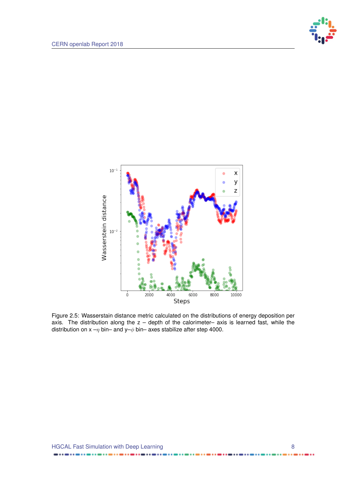

<span id="page-13-0"></span>

Figure 2.5: Wasserstain distance metric calculated on the distributions of energy deposition per axis. The distribution along the  $z$  – depth of the calorimeter– axis is learned fast, while the distribution on  $x - \eta$  bin– and  $y - \phi$  bin– axes stabilize after step 4000.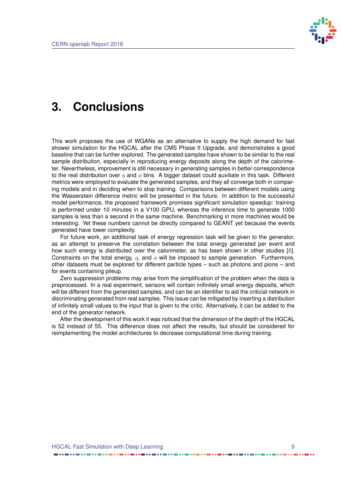

### <span id="page-14-1"></span><span id="page-14-0"></span>**3. Conclusions**

This work proposes the use of WGANs as an alternative to supply the high demand for fast shower simulation for the HGCAL after the CMS Phase II Upgrade, and demonstrates a good baseline that can be further explored. The generated samples have shown to be similar to the real sample distribution, especially in reproducing energy deposits along the depth of the calorimeter. Nevertheless, improvement is still necessary in generating samples in better correspondence to the real distribution over  $\eta$  and  $\phi$  bins. A bigger dataset could auxiliate in this task. Different metrics were employed to evaluate the generated samples, and they all converge both in comparing models and in deciding when to stop training. Comparisons between different models using the Wasserstein difference metric will be presented in the future. In addition to the successful model performance, the proposed framework promises significant simulation speedup: training is performed under 10 minutes in a V100 GPU, whereas the inference time to generate 1000 samples is less than a second in the same machine. Benchmarking in more machines would be interesting. Yet these numbers cannot be directly compared to GEANT yet because the events generated have lower complexity.

For future work, an additional task of energy regression task will be given to the generator, as an attempt to preserve the correlation between the total energy generated per event and how such energy is distributed over the calorimeter, as has been shown in other studies [\[8\]](#page-16-5). Constraints on the total energy,  $\eta$ , and  $\phi$  will be imposed to sample generation. Furthermore, other datasets must be explored for different particle types – such as photons and pions – and for events containing pileup.

Zero suppression problems may arise from the simplification of the problem when the data is preprocessed. In a real experiment, sensors will contain inifinitely small energy deposits, which will be different from the generated samples, and can be an identifier to aid the criticial network in discriminating generated from real samples. This issue can be mitigated by inserting a distribution of infinitely small values to the input that is given to the critic. Alternatively, it can be added to the end of the generator network.

After the development of this work it was noticed that the dimension of the depth of the HGCAL is 52 instead of 55. This difference does not affect the results, but should be considered for reimplementing the model architectures to decrease computational time during training.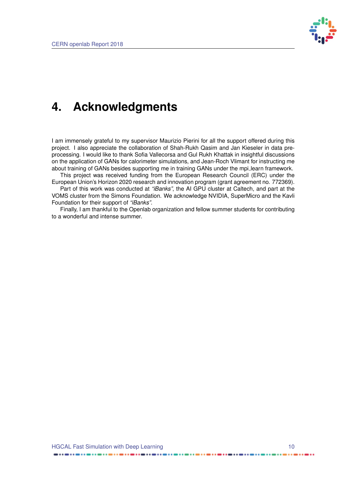

### <span id="page-15-0"></span>**4. Acknowledgments**

I am immensely grateful to my supervisor Maurizio Pierini for all the support offered during this project. I also appreciate the collaboration of Shah-Rukh Qasim and Jan Kieseler in data preprocessing. I would like to thank Sofia Vallecorsa and Gul Rukh Khattak in insightful discussions on the application of GANs for calorimeter simulations, and Jean-Roch Vlimant for instructing me about training of GANs besides supporting me in training GANs under the mpi\_learn framework.

This project was received funding from the European Research Council (ERC) under the European Union's Horizon 2020 research and innovation program (grant agreement no. 772369).

Part of this work was conducted at *"iBanks"*, the AI GPU cluster at Caltech, and part at the VOMS cluster from the Simons Foundation. We acknowledge NVIDIA, SuperMicro and the Kavli Foundation for their support of *"iBanks"*.

Finally, I am thankful to the Openlab organization and fellow summer students for contributing to a wonderful and intense summer.